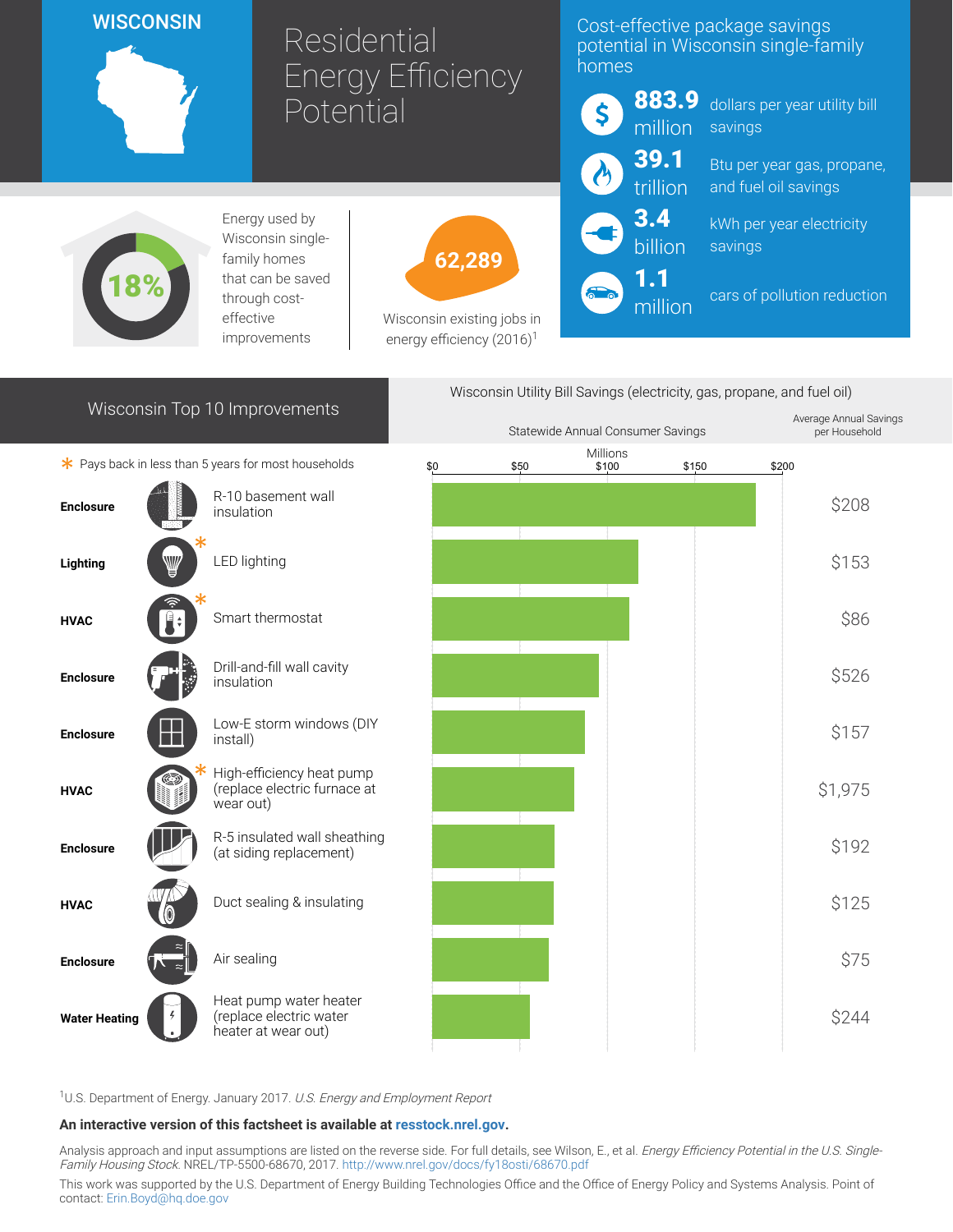## **WISCONSIN**

# Residential Energy Efficiency Potential

### Cost-effective package savings potential in Wisconsin single-family homes



1.1 million

883.9 dollars per year utility bill savings

> Btu per year gas, propane, and fuel oil savings

kWh per year electricity savings

cars of pollution reduction



Energy used by Wisconsin singlefamily homes that can be saved through costeffective improvements



Wisconsin existing jobs in energy efficiency  $(2016)^1$ 

| Wisconsin Top 10 Improvements                        |  |                                                                          | Wisconsin Utility Bill Savings (electricity, gas, propane, and fuel oil) |                                   |  |                                         |       |       |         |
|------------------------------------------------------|--|--------------------------------------------------------------------------|--------------------------------------------------------------------------|-----------------------------------|--|-----------------------------------------|-------|-------|---------|
|                                                      |  |                                                                          |                                                                          | Statewide Annual Consumer Savings |  | Average Annual Savings<br>per Household |       |       |         |
| * Pays back in less than 5 years for most households |  |                                                                          | \$0                                                                      | \$50                              |  | Millions<br>\$100                       | \$150 | \$200 |         |
| <b>Enclosure</b>                                     |  | R-10 basement wall<br>insulation                                         |                                                                          |                                   |  |                                         |       |       | \$208   |
| Lighting                                             |  | LED lighting                                                             |                                                                          |                                   |  |                                         |       |       | \$153   |
| <b>HVAC</b>                                          |  | Smart thermostat                                                         |                                                                          |                                   |  |                                         |       |       | \$86    |
| <b>Enclosure</b>                                     |  | Drill-and-fill wall cavity<br>insulation                                 |                                                                          |                                   |  |                                         |       |       | \$526   |
| <b>Enclosure</b>                                     |  | Low-E storm windows (DIY<br>install)                                     |                                                                          |                                   |  |                                         |       |       | \$157   |
| <b>HVAC</b>                                          |  | High-efficiency heat pump<br>(replace electric furnace at<br>wear out)   |                                                                          |                                   |  |                                         |       |       | \$1,975 |
| <b>Enclosure</b>                                     |  | R-5 insulated wall sheathing<br>(at siding replacement)                  |                                                                          |                                   |  |                                         |       |       | \$192   |
| <b>HVAC</b>                                          |  | Duct sealing & insulating                                                |                                                                          |                                   |  |                                         |       |       | \$125   |
| <b>Enclosure</b>                                     |  | Air sealing                                                              |                                                                          |                                   |  |                                         |       |       | \$75    |
| <b>Water Heating</b>                                 |  | Heat pump water heater<br>(replace electric water<br>heater at wear out) |                                                                          |                                   |  |                                         |       |       | \$244   |

<sup>1</sup>U.S. Department of Energy. January 2017. U.S. Energy and Employment Report

#### An interactive version of this factsheet is available at [resstock.nrel.gov.](https://resstock.nrel.gov/)

Analysis approach and input assumptions are listed on the reverse side. For full details, see Wilson, E., et al. *Energy Efficiency Potential in the U.S. Single*-Family Housing Stock. NREL/TP-5500-68670, 2017. <http://www.nrel.gov/docs/fy18osti/68670.pdf>

This work was supported by the U.S. Department of Energy Building Technologies Office and the Office of Energy Policy and Systems Analysis. Point of contact: [Erin.Boyd@hq.doe.gov](mailto:Erin.Boyd@hq.doe.gov)